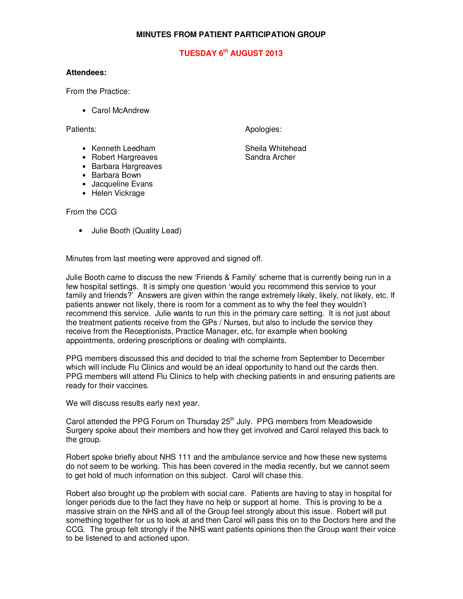## **MINUTES FROM PATIENT PARTICIPATION GROUP**

## **TUESDAY 6th AUGUST 2013**

## **Attendees:**

From the Practice:

• Carol McAndrew

Patients: Apologies: Apologies: Apologies: Apologies: Apologies: Apologies: Apologies: Apologies: Apologies: Apologies: Apologies: Apologies: Apologies: Apologies: Apologies: Apologies: Apologies: Apologies: Apologies: Apo

• Kenneth Leedham Sheila Whitehead

- Robert Hargreaves Sandra Archer
- Barbara Hargreaves
- Barbara Bown
- Jacqueline Evans
- Helen Vickrage

From the CCG

• Julie Booth (Quality Lead)

Minutes from last meeting were approved and signed off.

Julie Booth came to discuss the new 'Friends & Family' scheme that is currently being run in a few hospital settings. It is simply one question 'would you recommend this service to your family and friends?' Answers are given within the range extremely likely, likely, not likely, etc. If patients answer not likely, there is room for a comment as to why the feel they wouldn't recommend this service. Julie wants to run this in the primary care setting. It is not just about the treatment patients receive from the GPs / Nurses, but also to include the service they receive from the Receptionists, Practice Manager, etc, for example when booking appointments, ordering prescriptions or dealing with complaints.

PPG members discussed this and decided to trial the scheme from September to December which will include Flu Clinics and would be an ideal opportunity to hand out the cards then. PPG members will attend Flu Clinics to help with checking patients in and ensuring patients are ready for their vaccines.

We will discuss results early next year.

Carol attended the PPG Forum on Thursday 25<sup>th</sup> July. PPG members from Meadowside Surgery spoke about their members and how they get involved and Carol relayed this back to the group.

Robert spoke briefly about NHS 111 and the ambulance service and how these new systems do not seem to be working. This has been covered in the media recently, but we cannot seem to get hold of much information on this subject. Carol will chase this.

Robert also brought up the problem with social care. Patients are having to stay in hospital for longer periods due to the fact they have no help or support at home. This is proving to be a massive strain on the NHS and all of the Group feel strongly about this issue. Robert will put something together for us to look at and then Carol will pass this on to the Doctors here and the CCG. The group felt strongly if the NHS want patients opinions then the Group want their voice to be listened to and actioned upon.